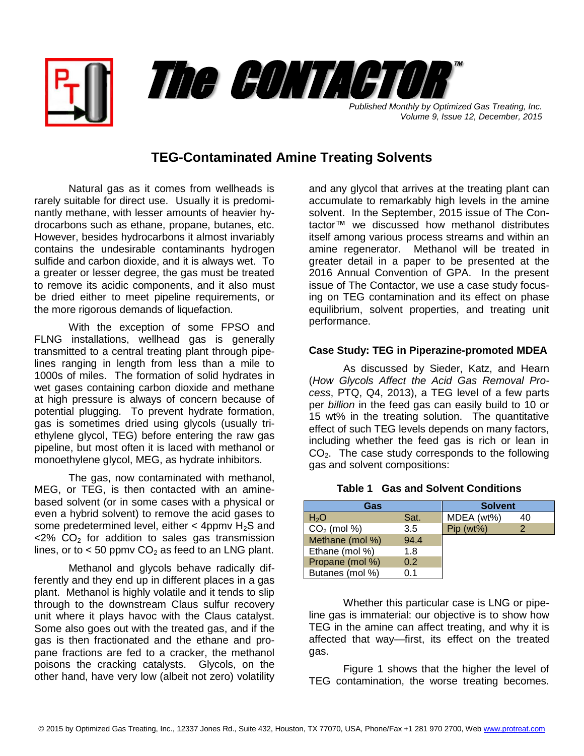



*Published Monthly by Optimized Gas Treating, Inc. Volume 9, Issue 12, December, 2015*

## **TEG-Contaminated Amine Treating Solvents**

Natural gas as it comes from wellheads is rarely suitable for direct use. Usually it is predominantly methane, with lesser amounts of heavier hydrocarbons such as ethane, propane, butanes, etc. However, besides hydrocarbons it almost invariably contains the undesirable contaminants hydrogen sulfide and carbon dioxide, and it is always wet. To a greater or lesser degree, the gas must be treated to remove its acidic components, and it also must be dried either to meet pipeline requirements, or the more rigorous demands of liquefaction.

With the exception of some FPSO and FLNG installations, wellhead gas is generally transmitted to a central treating plant through pipelines ranging in length from less than a mile to 1000s of miles. The formation of solid hydrates in wet gases containing carbon dioxide and methane at high pressure is always of concern because of potential plugging. To prevent hydrate formation, gas is sometimes dried using glycols (usually triethylene glycol, TEG) before entering the raw gas pipeline, but most often it is laced with methanol or monoethylene glycol, MEG, as hydrate inhibitors.

The gas, now contaminated with methanol, MEG, or TEG, is then contacted with an aminebased solvent (or in some cases with a physical or even a hybrid solvent) to remove the acid gases to some predetermined level, either  $<$  4ppmv H<sub>2</sub>S and  $<$ 2% CO<sub>2</sub> for addition to sales gas transmission lines, or to  $<$  50 ppmv CO<sub>2</sub> as feed to an LNG plant.

Methanol and glycols behave radically differently and they end up in different places in a gas plant. Methanol is highly volatile and it tends to slip through to the downstream Claus sulfur recovery unit where it plays havoc with the Claus catalyst. Some also goes out with the treated gas, and if the gas is then fractionated and the ethane and propane fractions are fed to a cracker, the methanol poisons the cracking catalysts. Glycols, on the other hand, have very low (albeit not zero) volatility

and any glycol that arrives at the treating plant can accumulate to remarkably high levels in the amine solvent. In the September, 2015 issue of The Contactor™ we discussed how methanol distributes itself among various process streams and within an amine regenerator. Methanol will be treated in greater detail in a paper to be presented at the 2016 Annual Convention of GPA. In the present issue of The Contactor, we use a case study focusing on TEG contamination and its effect on phase equilibrium, solvent properties, and treating unit performance.

## **Case Study: TEG in Piperazine-promoted MDEA**

As discussed by Sieder, Katz, and Hearn (*How Glycols Affect the Acid Gas Removal Process*, PTQ, Q4, 2013), a TEG level of a few parts per *billion* in the feed gas can easily build to 10 or 15 wt% in the treating solution. The quantitative effect of such TEG levels depends on many factors, including whether the feed gas is rich or lean in CO<sub>2</sub>. The case study corresponds to the following gas and solvent compositions:

| Gas              |      | <b>Solvent</b> |    |
|------------------|------|----------------|----|
| H <sub>2</sub> O | Sat. | MDEA (wt%)     | 40 |
| $CO2$ (mol %)    | 3.5  | $Pip (wt\%)$   |    |
| Methane (mol %)  | 94.4 |                |    |
| Ethane (mol %)   | 1.8  |                |    |
| Propane (mol %)  | 0.2  |                |    |
| Butanes (mol %)  | 0 1  |                |    |

## **Table 1 Gas and Solvent Conditions**

Whether this particular case is LNG or pipeline gas is immaterial: our objective is to show how TEG in the amine can affect treating, and why it is affected that way—first, its effect on the treated gas.

Figure 1 shows that the higher the level of TEG contamination, the worse treating becomes.